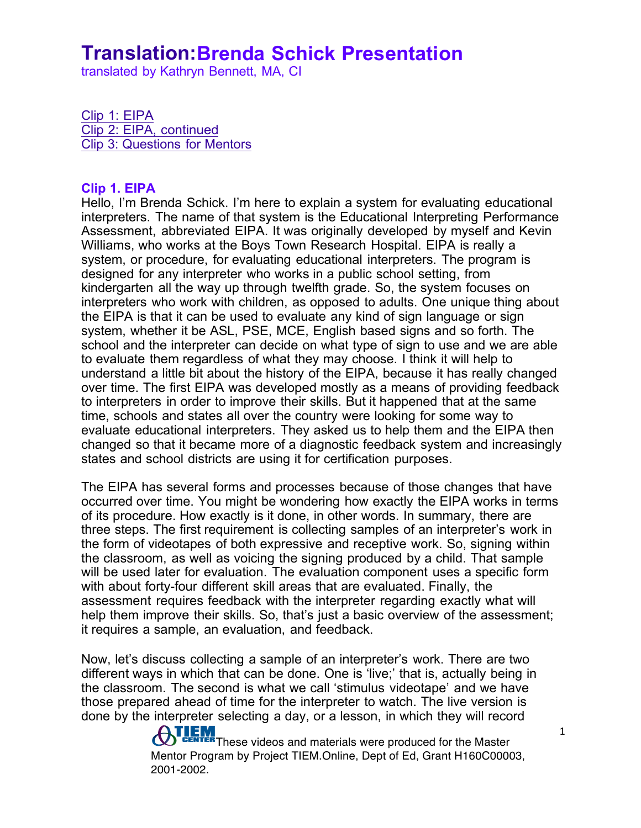translated by Kathryn Bennett, MA, CI

Clip 1: EIPA Clip 2: EIPA, continued Clip 3: Questions for Mentors

#### **Clip 1. EIPA**

Hello, I'm Brenda Schick. I'm here to explain a system for evaluating educational interpreters. The name of that system is the Educational Interpreting Performance Assessment, abbreviated EIPA. It was originally developed by myself and Kevin Williams, who works at the Boys Town Research Hospital. EIPA is really a system, or procedure, for evaluating educational interpreters. The program is designed for any interpreter who works in a public school setting, from kindergarten all the way up through twelfth grade. So, the system focuses on interpreters who work with children, as opposed to adults. One unique thing about the EIPA is that it can be used to evaluate any kind of sign language or sign system, whether it be ASL, PSE, MCE, English based signs and so forth. The school and the interpreter can decide on what type of sign to use and we are able to evaluate them regardless of what they may choose. I think it will help to understand a little bit about the history of the EIPA, because it has really changed over time. The first EIPA was developed mostly as a means of providing feedback to interpreters in order to improve their skills. But it happened that at the same time, schools and states all over the country were looking for some way to evaluate educational interpreters. They asked us to help them and the EIPA then changed so that it became more of a diagnostic feedback system and increasingly states and school districts are using it for certification purposes.

The EIPA has several forms and processes because of those changes that have occurred over time. You might be wondering how exactly the EIPA works in terms of its procedure. How exactly is it done, in other words. In summary, there are three steps. The first requirement is collecting samples of an interpreter's work in the form of videotapes of both expressive and receptive work. So, signing within the classroom, as well as voicing the signing produced by a child. That sample will be used later for evaluation. The evaluation component uses a specific form with about forty-four different skill areas that are evaluated. Finally, the assessment requires feedback with the interpreter regarding exactly what will help them improve their skills. So, that's just a basic overview of the assessment; it requires a sample, an evaluation, and feedback.

Now, let's discuss collecting a sample of an interpreter's work. There are two different ways in which that can be done. One is 'live;' that is, actually being in the classroom. The second is what we call 'stimulus videotape' and we have those prepared ahead of time for the interpreter to watch. The live version is done by the interpreter selecting a day, or a lesson, in which they will record

> **THEM**<br>These videos and materials were produced for the Master Mentor Program by Project TIEM.Online, Dept of Ed, Grant H160C00003, 2001-2002.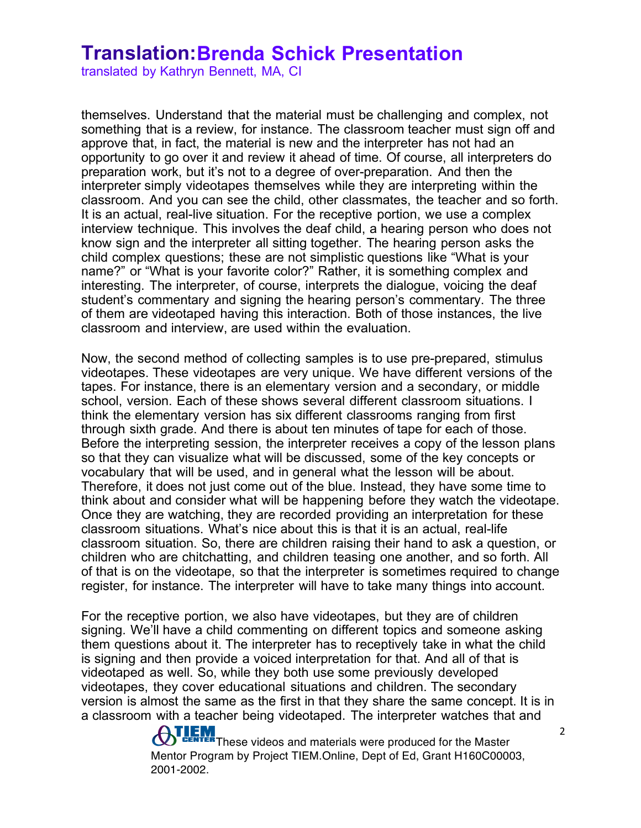translated by Kathryn Bennett, MA, CI

themselves. Understand that the material must be challenging and complex, not something that is a review, for instance. The classroom teacher must sign off and approve that, in fact, the material is new and the interpreter has not had an opportunity to go over it and review it ahead of time. Of course, all interpreters do preparation work, but it's not to a degree of over-preparation. And then the interpreter simply videotapes themselves while they are interpreting within the classroom. And you can see the child, other classmates, the teacher and so forth. It is an actual, real-live situation. For the receptive portion, we use a complex interview technique. This involves the deaf child, a hearing person who does not know sign and the interpreter all sitting together. The hearing person asks the child complex questions; these are not simplistic questions like "What is your name?" or "What is your favorite color?" Rather, it is something complex and interesting. The interpreter, of course, interprets the dialogue, voicing the deaf student's commentary and signing the hearing person's commentary. The three of them are videotaped having this interaction. Both of those instances, the live classroom and interview, are used within the evaluation.

Now, the second method of collecting samples is to use pre-prepared, stimulus videotapes. These videotapes are very unique. We have different versions of the tapes. For instance, there is an elementary version and a secondary, or middle school, version. Each of these shows several different classroom situations. I think the elementary version has six different classrooms ranging from first through sixth grade. And there is about ten minutes of tape for each of those. Before the interpreting session, the interpreter receives a copy of the lesson plans so that they can visualize what will be discussed, some of the key concepts or vocabulary that will be used, and in general what the lesson will be about. Therefore, it does not just come out of the blue. Instead, they have some time to think about and consider what will be happening before they watch the videotape. Once they are watching, they are recorded providing an interpretation for these classroom situations. What's nice about this is that it is an actual, real-life classroom situation. So, there are children raising their hand to ask a question, or children who are chitchatting, and children teasing one another, and so forth. All of that is on the videotape, so that the interpreter is sometimes required to change register, for instance. The interpreter will have to take many things into account.

For the receptive portion, we also have videotapes, but they are of children signing. We'll have a child commenting on different topics and someone asking them questions about it. The interpreter has to receptively take in what the child is signing and then provide a voiced interpretation for that. And all of that is videotaped as well. So, while they both use some previously developed videotapes, they cover educational situations and children. The secondary version is almost the same as the first in that they share the same concept. It is in a classroom with a teacher being videotaped. The interpreter watches that and

> **TEM**<br>**These videos and materials were produced for the Master**<br> $\frac{1}{2}$  and the Master open Mentor Program by Project TIEM.Online, Dept of Ed, Grant H160C00003, 2001-2002.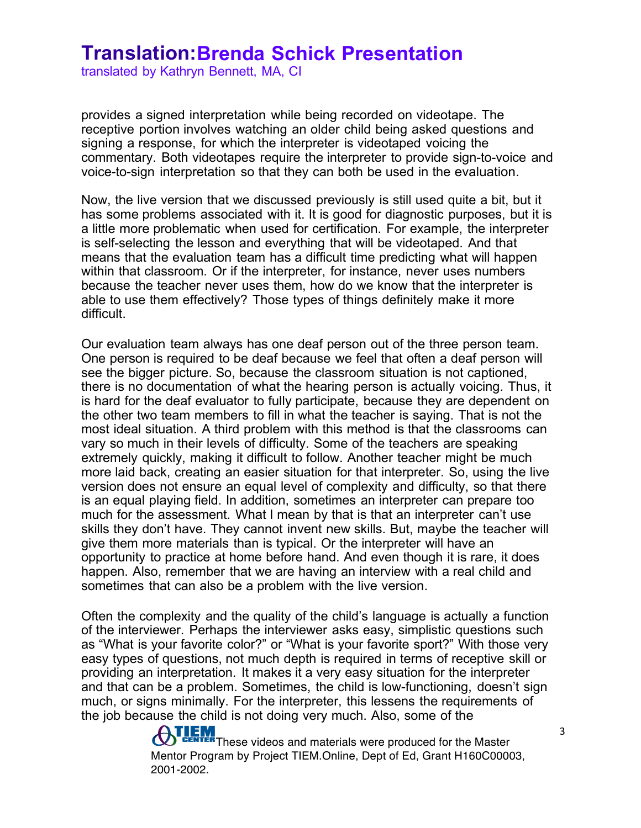translated by Kathryn Bennett, MA, CI

provides a signed interpretation while being recorded on videotape. The receptive portion involves watching an older child being asked questions and signing a response, for which the interpreter is videotaped voicing the commentary. Both videotapes require the interpreter to provide sign-to-voice and voice-to-sign interpretation so that they can both be used in the evaluation.

Now, the live version that we discussed previously is still used quite a bit, but it has some problems associated with it. It is good for diagnostic purposes, but it is a little more problematic when used for certification. For example, the interpreter is self-selecting the lesson and everything that will be videotaped. And that means that the evaluation team has a difficult time predicting what will happen within that classroom. Or if the interpreter, for instance, never uses numbers because the teacher never uses them, how do we know that the interpreter is able to use them effectively? Those types of things definitely make it more difficult.

Our evaluation team always has one deaf person out of the three person team. One person is required to be deaf because we feel that often a deaf person will see the bigger picture. So, because the classroom situation is not captioned, there is no documentation of what the hearing person is actually voicing. Thus, it is hard for the deaf evaluator to fully participate, because they are dependent on the other two team members to fill in what the teacher is saying. That is not the most ideal situation. A third problem with this method is that the classrooms can vary so much in their levels of difficulty. Some of the teachers are speaking extremely quickly, making it difficult to follow. Another teacher might be much more laid back, creating an easier situation for that interpreter. So, using the live version does not ensure an equal level of complexity and difficulty, so that there is an equal playing field. In addition, sometimes an interpreter can prepare too much for the assessment. What I mean by that is that an interpreter can't use skills they don't have. They cannot invent new skills. But, maybe the teacher will give them more materials than is typical. Or the interpreter will have an opportunity to practice at home before hand. And even though it is rare, it does happen. Also, remember that we are having an interview with a real child and sometimes that can also be a problem with the live version.

Often the complexity and the quality of the child's language is actually a function of the interviewer. Perhaps the interviewer asks easy, simplistic questions such as "What is your favorite color?" or "What is your favorite sport?" With those very easy types of questions, not much depth is required in terms of receptive skill or providing an interpretation. It makes it a very easy situation for the interpreter and that can be a problem. Sometimes, the child is low-functioning, doesn't sign much, or signs minimally. For the interpreter, this lessens the requirements of the job because the child is not doing very much. Also, some of the

> **THEM**<br>These videos and materials were produced for the Master Mentor Program by Project TIEM.Online, Dept of Ed, Grant H160C00003, 2001-2002.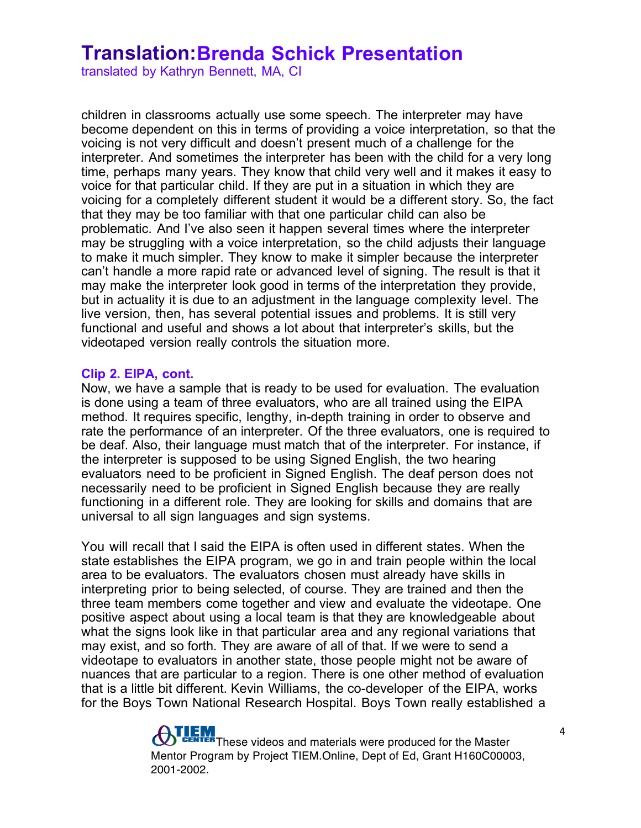translated by Kathryn Bennett, MA, CI

children in classrooms actually use some speech. The interpreter may have become dependent on this in terms of providing a voice interpretation, so that the voicing is not very difficult and doesn't present much of a challenge for the interpreter. And sometimes the interpreter has been with the child for a very long time, perhaps many years. They know that child very well and it makes it easy to voice for that particular child. If they are put in a situation in which they are voicing for a completely different student it would be a different story. So, the fact that they may be too familiar with that one particular child can also be problematic. And I've also seen it happen several times where the interpreter may be struggling with a voice interpretation, so the child adjusts their language to make it much simpler. They know to make it simpler because the interpreter can't handle a more rapid rate or advanced level of signing. The result is that it may make the interpreter look good in terms of the interpretation they provide, but in actuality it is due to an adjustment in the language complexity level. The live version, then, has several potential issues and problems. It is still very functional and useful and shows a lot about that interpreter's skills, but the videotaped version really controls the situation more.

#### **Clip 2. EIPA, cont.**

Now, we have a sample that is ready to be used for evaluation. The evaluation is done using a team of three evaluators, who are all trained using the EIPA method. It requires specific, lengthy, in-depth training in order to observe and rate the performance of an interpreter. Of the three evaluators, one is required to be deaf. Also, their language must match that of the interpreter. For instance, if the interpreter is supposed to be using Signed English, the two hearing evaluators need to be proficient in Signed English. The deaf person does not necessarily need to be proficient in Signed English because they are really functioning in a different role. They are looking for skills and domains that are universal to all sign languages and sign systems.

You will recall that I said the EIPA is often used in different states. When the state establishes the EIPA program, we go in and train people within the local area to be evaluators. The evaluators chosen must already have skills in interpreting prior to being selected, of course. They are trained and then the three team members come together and view and evaluate the videotape. One positive aspect about using a local team is that they are knowledgeable about what the signs look like in that particular area and any regional variations that may exist, and so forth. They are aware of all of that. If we were to send a videotape to evaluators in another state, those people might not be aware of nuances that are particular to a region. There is one other method of evaluation that is a little bit different. Kevin Williams, the co-developer of the EIPA, works for the Boys Town National Research Hospital. Boys Town really established a

> **ATLEM**<br>These videos and materials were produced for the Master Mentor Program by Project TIEM.Online, Dept of Ed, Grant H160C00003, 2001-2002.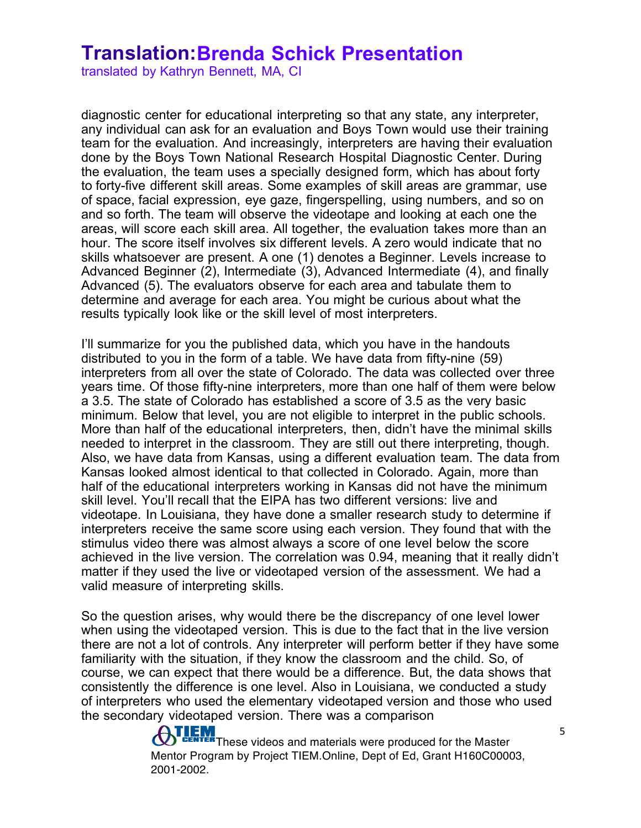translated by Kathryn Bennett, MA, CI

diagnostic center for educational interpreting so that any state, any interpreter, any individual can ask for an evaluation and Boys Town would use their training team for the evaluation. And increasingly, interpreters are having their evaluation done by the Boys Town National Research Hospital Diagnostic Center. During the evaluation, the team uses a specially designed form, which has about forty to forty-five different skill areas. Some examples of skill areas are grammar, use of space, facial expression, eye gaze, fingerspelling, using numbers, and so on and so forth. The team will observe the videotape and looking at each one the areas, will score each skill area. All together, the evaluation takes more than an hour. The score itself involves six different levels. A zero would indicate that no skills whatsoever are present. A one (1) denotes a Beginner. Levels increase to Advanced Beginner (2), Intermediate (3), Advanced Intermediate (4), and finally Advanced (5). The evaluators observe for each area and tabulate them to determine and average for each area. You might be curious about what the results typically look like or the skill level of most interpreters.

I'll summarize for you the published data, which you have in the handouts distributed to you in the form of a table. We have data from fifty-nine (59) interpreters from all over the state of Colorado. The data was collected over three years time. Of those fifty-nine interpreters, more than one half of them were below a 3.5. The state of Colorado has established a score of 3.5 as the very basic minimum. Below that level, you are not eligible to interpret in the public schools. More than half of the educational interpreters, then, didn't have the minimal skills needed to interpret in the classroom. They are still out there interpreting, though. Also, we have data from Kansas, using a different evaluation team. The data from Kansas looked almost identical to that collected in Colorado. Again, more than half of the educational interpreters working in Kansas did not have the minimum skill level. You'll recall that the EIPA has two different versions: live and videotape. In Louisiana, they have done a smaller research study to determine if interpreters receive the same score using each version. They found that with the stimulus video there was almost always a score of one level below the score achieved in the live version. The correlation was 0.94, meaning that it really didn't matter if they used the live or videotaped version of the assessment. We had a valid measure of interpreting skills.

So the question arises, why would there be the discrepancy of one level lower when using the videotaped version. This is due to the fact that in the live version there are not a lot of controls. Any interpreter will perform better if they have some familiarity with the situation, if they know the classroom and the child. So, of course, we can expect that there would be a difference. But, the data shows that consistently the difference is one level. Also in Louisiana, we conducted a study of interpreters who used the elementary videotaped version and those who used the secondary videotaped version. There was a comparison

> **TEM**<br>ENTER These videos and materials were produced for the Master Mentor Program by Project TIEM.Online, Dept of Ed, Grant H160C00003, 2001-2002.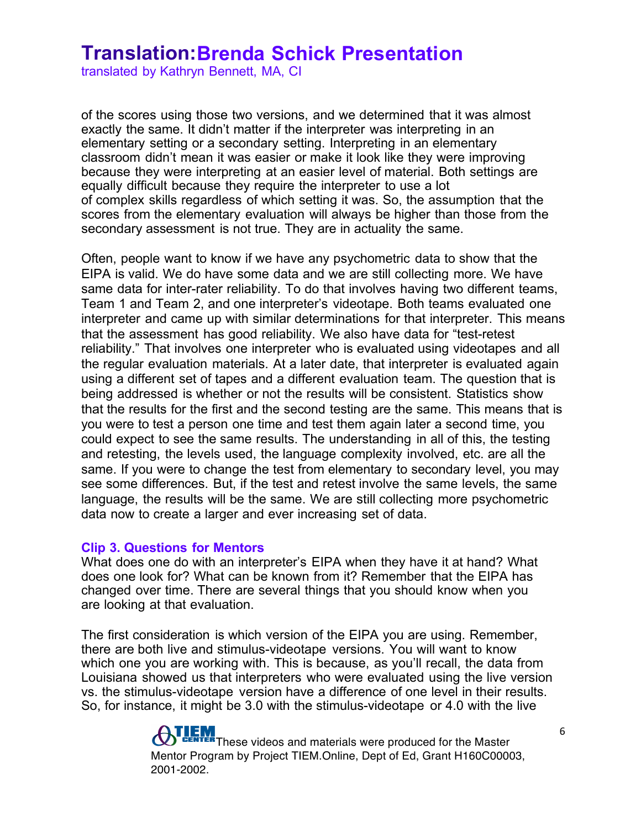translated by Kathryn Bennett, MA, CI

of the scores using those two versions, and we determined that it was almost exactly the same. It didn't matter if the interpreter was interpreting in an elementary setting or a secondary setting. Interpreting in an elementary classroom didn't mean it was easier or make it look like they were improving because they were interpreting at an easier level of material. Both settings are equally difficult because they require the interpreter to use a lot of complex skills regardless of which setting it was. So, the assumption that the scores from the elementary evaluation will always be higher than those from the secondary assessment is not true. They are in actuality the same.

Often, people want to know if we have any psychometric data to show that the EIPA is valid. We do have some data and we are still collecting more. We have same data for inter-rater reliability. To do that involves having two different teams, Team 1 and Team 2, and one interpreter's videotape. Both teams evaluated one interpreter and came up with similar determinations for that interpreter. This means that the assessment has good reliability. We also have data for "test-retest reliability." That involves one interpreter who is evaluated using videotapes and all the regular evaluation materials. At a later date, that interpreter is evaluated again using a different set of tapes and a different evaluation team. The question that is being addressed is whether or not the results will be consistent. Statistics show that the results for the first and the second testing are the same. This means that is you were to test a person one time and test them again later a second time, you could expect to see the same results. The understanding in all of this, the testing and retesting, the levels used, the language complexity involved, etc. are all the same. If you were to change the test from elementary to secondary level, you may see some differences. But, if the test and retest involve the same levels, the same language, the results will be the same. We are still collecting more psychometric data now to create a larger and ever increasing set of data.

#### **Clip 3. Questions for Mentors**

What does one do with an interpreter's EIPA when they have it at hand? What does one look for? What can be known from it? Remember that the EIPA has changed over time. There are several things that you should know when you are looking at that evaluation.

The first consideration is which version of the EIPA you are using. Remember, there are both live and stimulus-videotape versions. You will want to know which one you are working with. This is because, as you'll recall, the data from Louisiana showed us that interpreters who were evaluated using the live version vs. the stimulus-videotape version have a difference of one level in their results. So, for instance, it might be 3.0 with the stimulus-videotape or 4.0 with the live

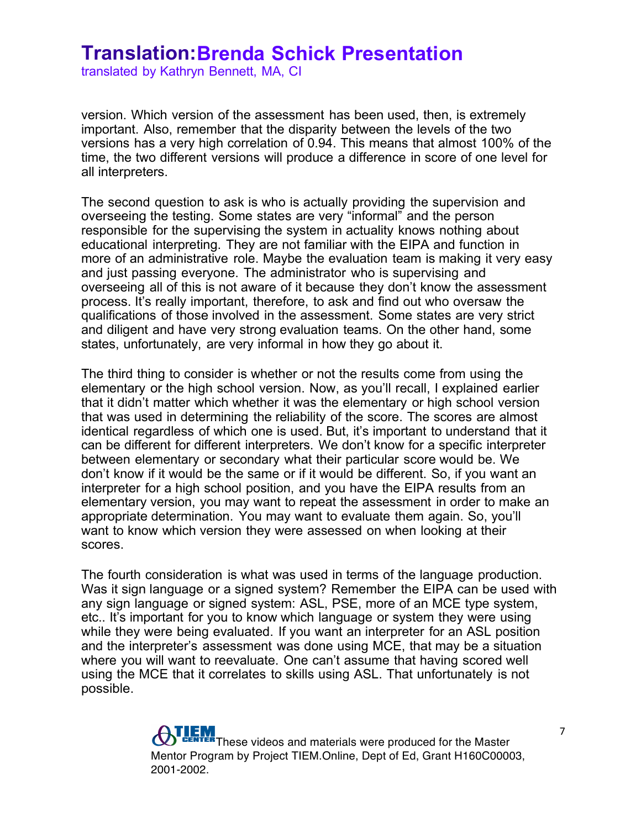translated by Kathryn Bennett, MA, CI

version. Which version of the assessment has been used, then, is extremely important. Also, remember that the disparity between the levels of the two versions has a very high correlation of 0.94. This means that almost 100% of the time, the two different versions will produce a difference in score of one level for all interpreters.

The second question to ask is who is actually providing the supervision and overseeing the testing. Some states are very "informal" and the person responsible for the supervising the system in actuality knows nothing about educational interpreting. They are not familiar with the EIPA and function in more of an administrative role. Maybe the evaluation team is making it very easy and just passing everyone. The administrator who is supervising and overseeing all of this is not aware of it because they don't know the assessment process. It's really important, therefore, to ask and find out who oversaw the qualifications of those involved in the assessment. Some states are very strict and diligent and have very strong evaluation teams. On the other hand, some states, unfortunately, are very informal in how they go about it.

The third thing to consider is whether or not the results come from using the elementary or the high school version. Now, as you'll recall, I explained earlier that it didn't matter which whether it was the elementary or high school version that was used in determining the reliability of the score. The scores are almost identical regardless of which one is used. But, it's important to understand that it can be different for different interpreters. We don't know for a specific interpreter between elementary or secondary what their particular score would be. We don't know if it would be the same or if it would be different. So, if you want an interpreter for a high school position, and you have the EIPA results from an elementary version, you may want to repeat the assessment in order to make an appropriate determination. You may want to evaluate them again. So, you'll want to know which version they were assessed on when looking at their scores.

The fourth consideration is what was used in terms of the language production. Was it sign language or a signed system? Remember the EIPA can be used with any sign language or signed system: ASL, PSE, more of an MCE type system, etc.. It's important for you to know which language or system they were using while they were being evaluated. If you want an interpreter for an ASL position and the interpreter's assessment was done using MCE, that may be a situation where you will want to reevaluate. One can't assume that having scored well using the MCE that it correlates to skills using ASL. That unfortunately is not possible.

> **The Two Secondity Controls and materials were produced for the Master** Mentor Program by Project TIEM.Online, Dept of Ed, Grant H160C00003, 2001-2002.